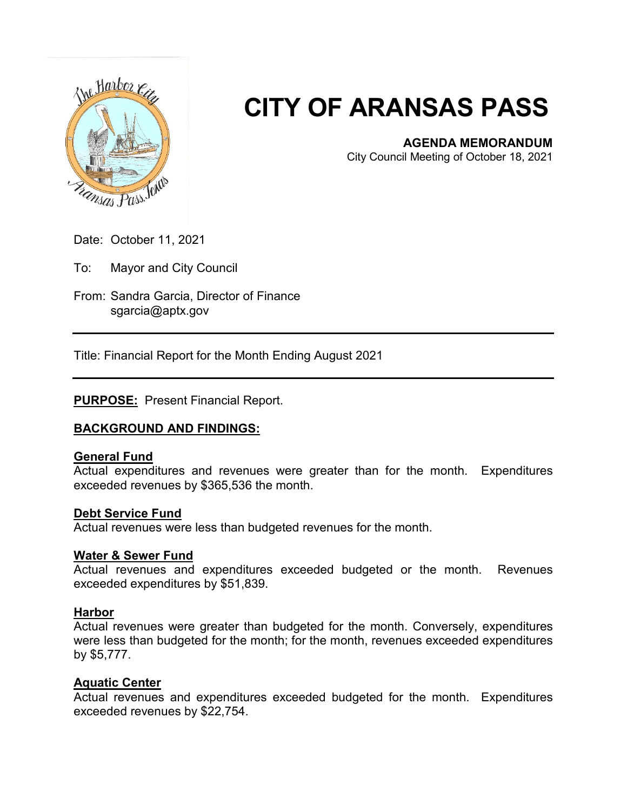

# **CITY OF ARANSAS PASS**

#### **AGENDA MEMORANDUM**

City Council Meeting of October 18, 2021

Date: October 11, 2021

To: Mayor and City Council

From: Sandra Garcia, Director of Finance sgarcia@aptx.gov

Title: Financial Report for the Month Ending August 2021

#### **PURPOSE:** Present Financial Report.

#### **BACKGROUND AND FINDINGS:**

#### **General Fund**

Actual expenditures and revenues were greater than for the month. Expenditures exceeded revenues by \$365,536 the month.

#### **Debt Service Fund**

Actual revenues were less than budgeted revenues for the month.

#### **Water & Sewer Fund**

Actual revenues and expenditures exceeded budgeted or the month. Revenues exceeded expenditures by \$51,839.

#### **Harbor**

Actual revenues were greater than budgeted for the month. Conversely, expenditures were less than budgeted for the month; for the month, revenues exceeded expenditures by \$5,777.

#### **Aquatic Center**

Actual revenues and expenditures exceeded budgeted for the month. Expenditures exceeded revenues by \$22,754.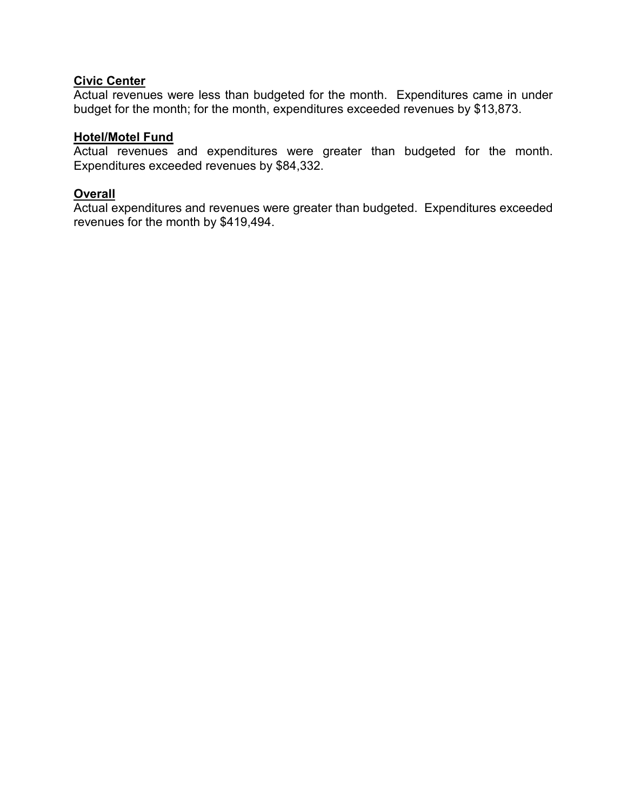### **Civic Center**

Actual revenues were less than budgeted for the month. Expenditures came in under budget for the month; for the month, expenditures exceeded revenues by \$13,873.

#### **Hotel/Motel Fund**

Actual revenues and expenditures were greater than budgeted for the month. Expenditures exceeded revenues by \$84,332.

#### **Overall**

Actual expenditures and revenues were greater than budgeted. Expenditures exceeded revenues for the month by \$419,494.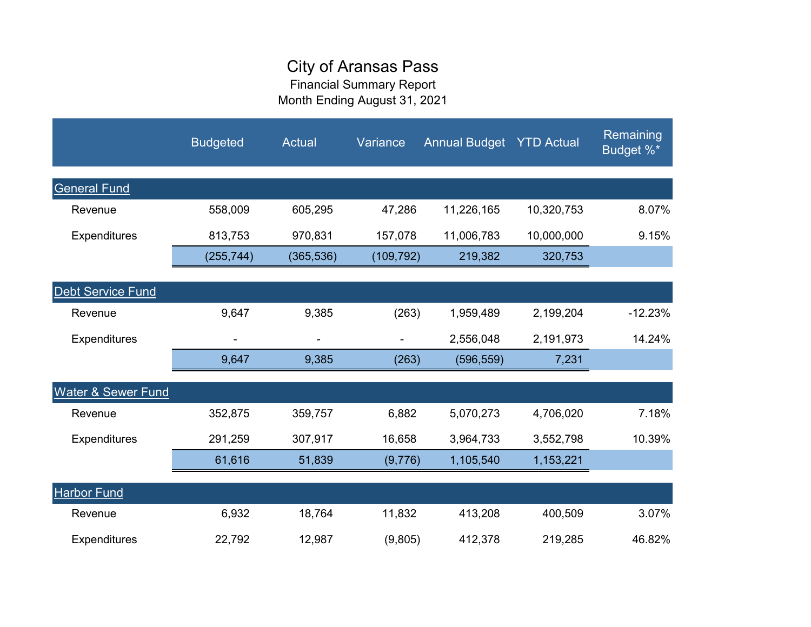## City of Aransas Pass

Financial Summary Report Month Ending August 31, 2021

|                               | <b>Budgeted</b> | Actual     | Variance   | <b>Annual Budget YTD Actual</b> |            | Remaining<br>Budget %* |
|-------------------------------|-----------------|------------|------------|---------------------------------|------------|------------------------|
| <b>General Fund</b>           |                 |            |            |                                 |            |                        |
| Revenue                       | 558,009         | 605,295    | 47,286     | 11,226,165                      | 10,320,753 | 8.07%                  |
| Expenditures                  | 813,753         | 970,831    | 157,078    | 11,006,783                      | 10,000,000 | 9.15%                  |
|                               | (255, 744)      | (365, 536) | (109, 792) | 219,382                         | 320,753    |                        |
| <b>Debt Service Fund</b>      |                 |            |            |                                 |            |                        |
| Revenue                       | 9,647           | 9,385      | (263)      | 1,959,489                       | 2,199,204  | $-12.23%$              |
| Expenditures                  |                 | ۰          | ۰          | 2,556,048                       | 2,191,973  | 14.24%                 |
|                               | 9,647           | 9,385      | (263)      | (596, 559)                      | 7,231      |                        |
| <b>Water &amp; Sewer Fund</b> |                 |            |            |                                 |            |                        |
| Revenue                       | 352,875         | 359,757    | 6,882      | 5,070,273                       | 4,706,020  | 7.18%                  |
| <b>Expenditures</b>           | 291,259         | 307,917    | 16,658     | 3,964,733                       | 3,552,798  | 10.39%                 |
|                               | 61,616          | 51,839     | (9,776)    | 1,105,540                       | 1,153,221  |                        |
| <b>Harbor Fund</b>            |                 |            |            |                                 |            |                        |
| Revenue                       | 6,932           | 18,764     | 11,832     | 413,208                         | 400,509    | 3.07%                  |
| <b>Expenditures</b>           | 22,792          | 12,987     | (9,805)    | 412,378                         | 219,285    | 46.82%                 |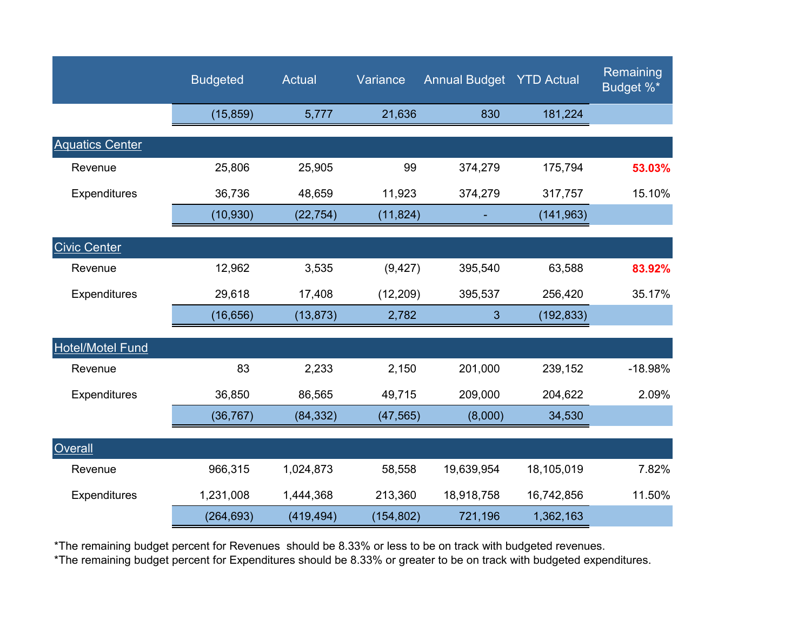|                         | <b>Budgeted</b> | <b>Actual</b> | Variance   | <b>Annual Budget YTD Actual</b> |            | Remaining<br>Budget %* |
|-------------------------|-----------------|---------------|------------|---------------------------------|------------|------------------------|
|                         | (15, 859)       | 5,777         | 21,636     | 830                             | 181,224    |                        |
| <b>Aquatics Center</b>  |                 |               |            |                                 |            |                        |
| Revenue                 | 25,806          | 25,905        | 99         | 374,279                         | 175,794    | 53.03%                 |
| <b>Expenditures</b>     | 36,736          | 48,659        | 11,923     | 374,279                         | 317,757    | 15.10%                 |
|                         | (10, 930)       | (22, 754)     | (11, 824)  |                                 | (141, 963) |                        |
| <b>Civic Center</b>     |                 |               |            |                                 |            |                        |
| Revenue                 | 12,962          | 3,535         | (9, 427)   | 395,540                         | 63,588     | 83.92%                 |
| Expenditures            | 29,618          | 17,408        | (12, 209)  | 395,537                         | 256,420    | 35.17%                 |
|                         | (16, 656)       | (13, 873)     | 2,782      | 3                               | (192, 833) |                        |
| <b>Hotel/Motel Fund</b> |                 |               |            |                                 |            |                        |
| Revenue                 | 83              | 2,233         | 2,150      | 201,000                         | 239,152    | $-18.98%$              |
| Expenditures            | 36,850          | 86,565        | 49,715     | 209,000                         | 204,622    | 2.09%                  |
|                         | (36, 767)       | (84, 332)     | (47, 565)  | (8,000)                         | 34,530     |                        |
| Overall                 |                 |               |            |                                 |            |                        |
| Revenue                 | 966,315         | 1,024,873     | 58,558     | 19,639,954                      | 18,105,019 | 7.82%                  |
| Expenditures            | 1,231,008       | 1,444,368     | 213,360    | 18,918,758                      | 16,742,856 | 11.50%                 |
|                         | (264, 693)      | (419, 494)    | (154, 802) | 721,196                         | 1,362,163  |                        |

\*The remaining budget percent for Revenues should be 8.33% or less to be on track with budgeted revenues.

\*The remaining budget percent for Expenditures should be 8.33% or greater to be on track with budgeted expenditures.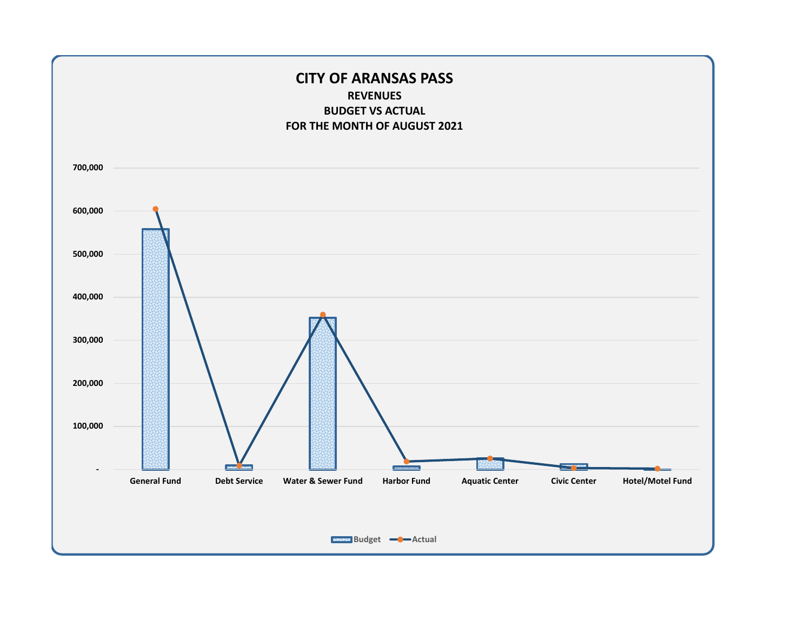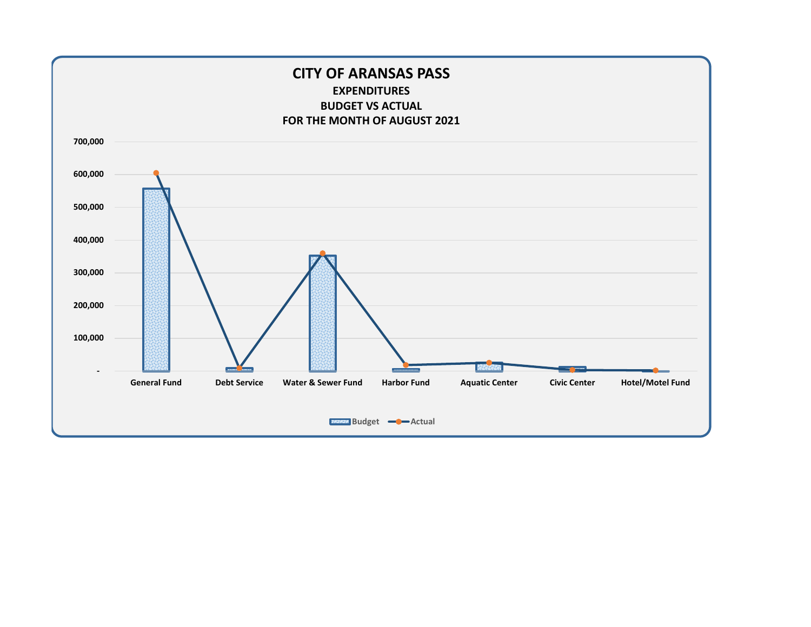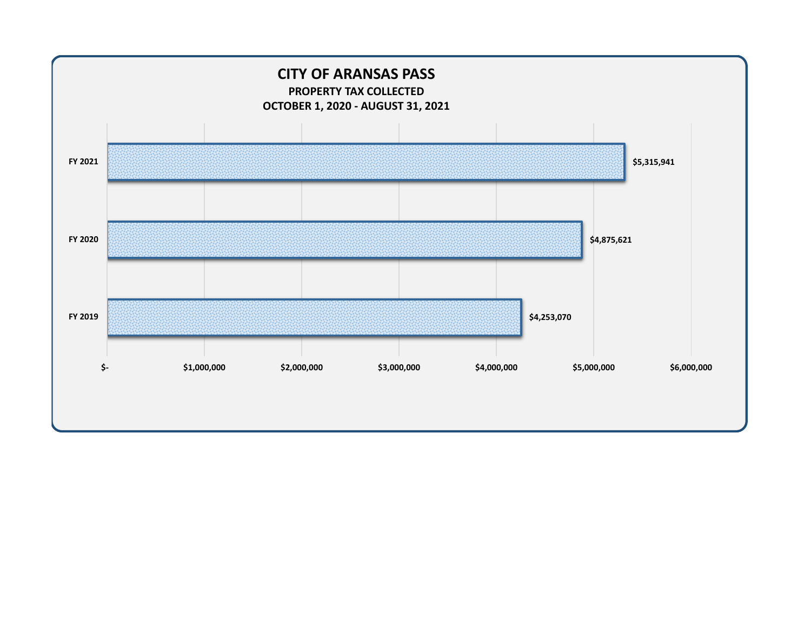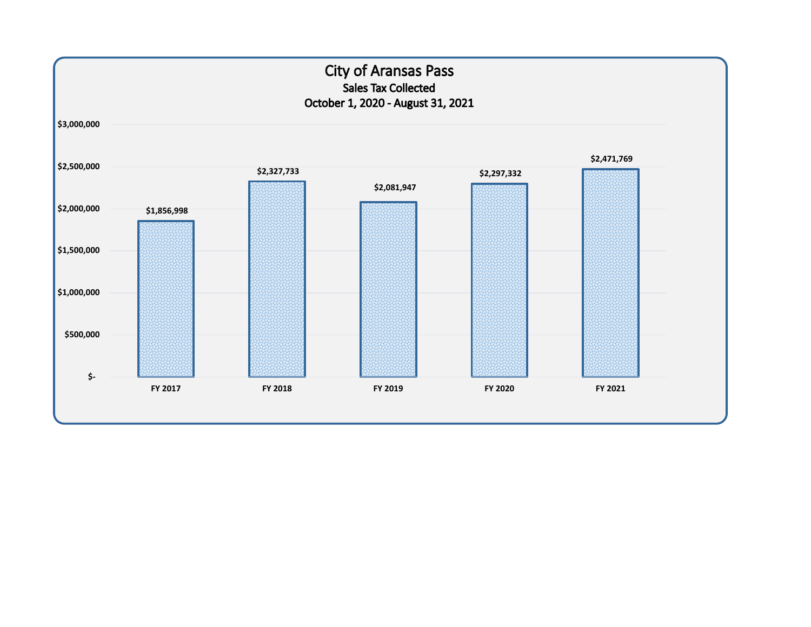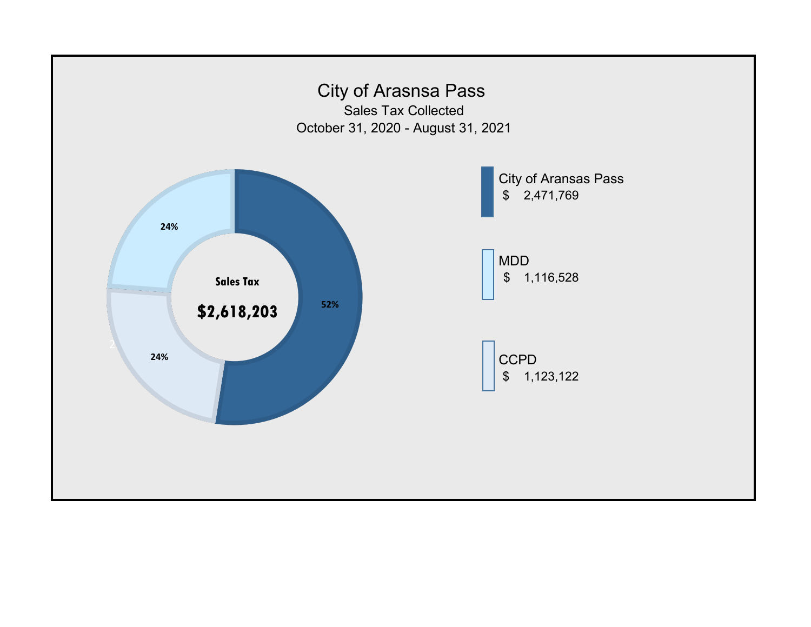